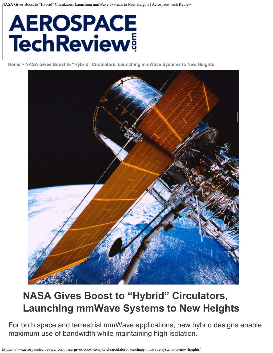# **AEROSPACE**<br>TechReview

**[Home > NASA Gives Boost to "Hybrid" Circulators, Launching mmWave Systems to New Heights](https://www.aerospacetechweek.com/americas)**



## **NASA Gives Boost to "Hybrid" Circulators, Launching mmWave Systems to New Heights**

For both space and terrestrial mmWave applications, new hybrid designs enable maximum use of bandwidth while maintaining high isolation.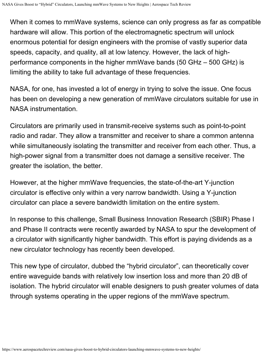When it comes to mmWave systems, science can only progress as far as compatible hardware will allow. This portion of the electromagnetic spectrum will unlock enormous potential for design engineers with the promise of vastly superior data speeds, capacity, and quality, all at low latency. However, the lack of highperformance components in the higher mmWave bands (50 GHz – 500 GHz) is limiting the ability to take full advantage of these frequencies.

NASA, for one, has invested a lot of energy in trying to solve the issue. One focus has been on developing a new generation of mmWave circulators suitable for use in NASA instrumentation.

Circulators are primarily used in transmit-receive systems such as point-to-point radio and radar. They allow a transmitter and receiver to share a common antenna while simultaneously isolating the transmitter and receiver from each other. Thus, a high-power signal from a transmitter does not damage a sensitive receiver. The greater the isolation, the better.

However, at the higher mmWave frequencies, the state-of-the-art Y-junction circulator is effective only within a very narrow bandwidth. Using a Y-junction circulator can place a severe bandwidth limitation on the entire system.

In response to this challenge, Small Business Innovation Research (SBIR) Phase I and Phase II contracts were recently awarded by NASA to spur the development of a circulator with significantly higher bandwidth. This effort is paying dividends as a new circulator technology has recently been developed.

This new type of circulator, dubbed the "hybrid circulator", can theoretically cover entire waveguide bands with relatively low insertion loss and more than 20 dB of isolation. The hybrid circulator will enable designers to push greater volumes of data through systems operating in the upper regions of the mmWave spectrum.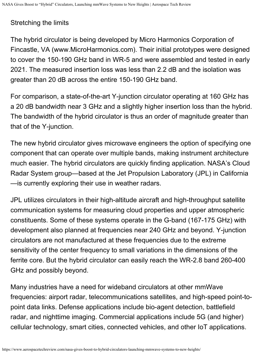#### Stretching the limits

The hybrid circulator is being developed by Micro Harmonics Corporation of Fincastle, VA (www.MicroHarmonics.com). Their initial prototypes were designed to cover the 150-190 GHz band in WR-5 and were assembled and tested in early 2021. The measured insertion loss was less than 2.2 dB and the isolation was greater than 20 dB across the entire 150-190 GHz band.

For comparison, a state-of-the-art Y-junction circulator operating at 160 GHz has a 20 dB bandwidth near 3 GHz and a slightly higher insertion loss than the hybrid. The bandwidth of the hybrid circulator is thus an order of magnitude greater than that of the Y-junction.

The new hybrid circulator gives microwave engineers the option of specifying one component that can operate over multiple bands, making instrument architecture much easier. The hybrid circulators are quickly finding application. NASA's Cloud Radar System group—based at the Jet Propulsion Laboratory (JPL) in California —is currently exploring their use in weather radars.

JPL utilizes circulators in their high-altitude aircraft and high-throughput satellite communication systems for measuring cloud properties and upper atmospheric constituents. Some of these systems operate in the G-band (167-175 GHz) with development also planned at frequencies near 240 GHz and beyond. Y-junction circulators are not manufactured at these frequencies due to the extreme sensitivity of the center frequency to small variations in the dimensions of the ferrite core. But the hybrid circulator can easily reach the WR-2.8 band 260-400 GHz and possibly beyond.

Many industries have a need for wideband circulators at other mmWave frequencies: airport radar, telecommunications satellites, and high-speed point-topoint data links. Defense applications include bio-agent detection, battlefield radar, and nighttime imaging. Commercial applications include 5G (and higher) cellular technology, smart cities, connected vehicles, and other IoT applications.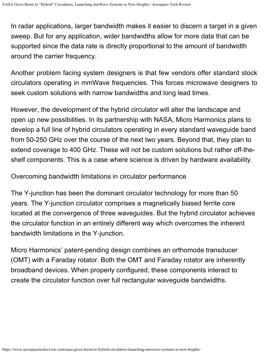In radar applications, larger bandwidth makes it easier to discern a target in a given sweep. But for any application, wider bandwidths allow for more data that can be supported since the data rate is directly proportional to the amount of bandwidth around the carrier frequency.

Another problem facing system designers is that few vendors offer standard stock circulators operating in mmWave frequencies. This forces microwave designers to seek custom solutions with narrow bandwidths and long lead times.

However, the development of the hybrid circulator will alter the landscape and open up new possibilities. In its partnership with NASA, Micro Harmonics plans to develop a full line of hybrid circulators operating in every standard waveguide band from 50-250 GHz over the course of the next two years. Beyond that, they plan to extend coverage to 400 GHz. These will not be custom solutions but rather off-theshelf components. This is a case where science is driven by hardware availability.

Overcoming bandwidth limitations in circulator performance

The Y-junction has been the dominant circulator technology for more than 50 years. The Y-junction circulator comprises a magnetically biased ferrite core located at the convergence of three waveguides. But the hybrid circulator achieves the circulator function in an entirely different way which overcomes the inherent bandwidth limitations in the Y-junction.

Micro Harmonics' patent-pending design combines an orthomode transducer (OMT) with a Faraday rotator. Both the OMT and Faraday rotator are inherently broadband devices. When properly configured, these components interact to create the circulator function over full rectangular waveguide bandwidths.